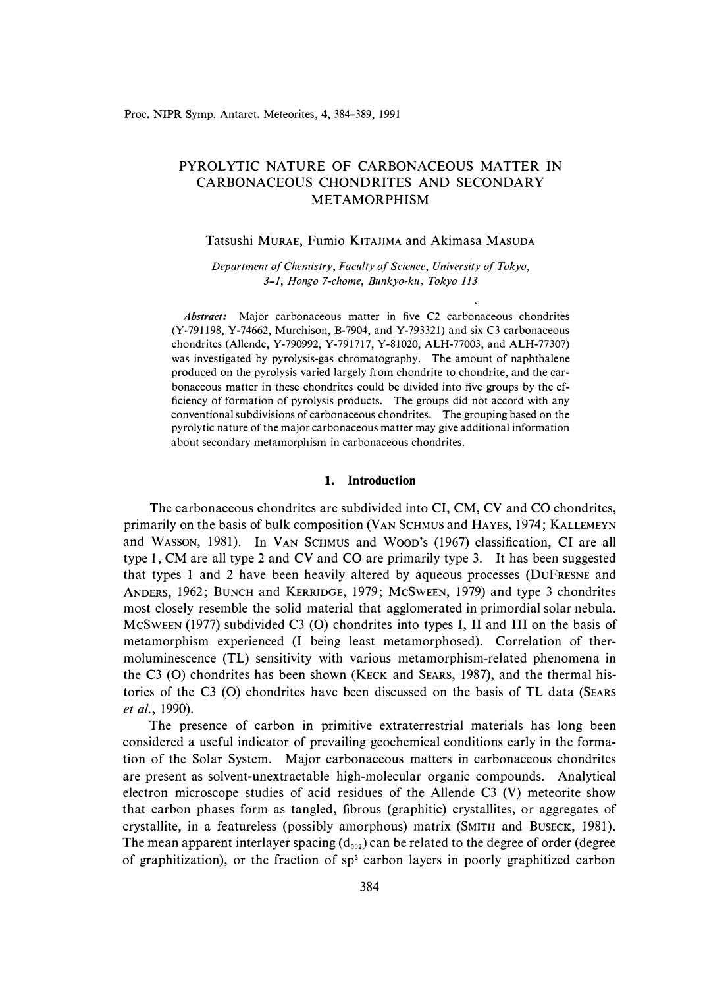# PYROLYTIC NATURE OF CARBONACEOUS MATTER IN CARBONACEOUS CHONDRITES AND SECONDARY METAMORPHISM

### Tatsushi MURAE, Fumio KITAJIMA and Akimasa MASUDA

*Department of Chemistry, Faculty of Science, University of Tokyo, 3-1, Hongo 7-chome, Bunkyo-ku, Tokyo 113* 

*Abstract:* Major carbonaceous matter in five C2 carbonaceous chondrites (Y-791198, Y-74662, Murchison, B-7904, and Y-793321) and six C3 carbonaceous chondrites (Allende, Y-790992, Y-791717, Y-81020, ALH-77003, and ALH-77307) was investigated by pyrolysis-gas chromatography. The amount of naphthalene produced on the pyrolysis varied largely from chondrite to chondrite, and the carbonaceous matter in these chondrites could be divided into five groups by the efficiency of formation of pyrolysis products. The groups did not accord with any conventional subdivisions of carbonaceous chondrites. The grouping based on the pyrolytic nature of the major carbonaceous matter may give additional information about secondary metamorphism in carbonaceous chondrites.

## **1. Introduction**

The carbonaceous chondrites are subdivided into CI, CM, CV and CO chondrites, primarily on the basis of bulk composition (VAN SCHMUS and HA YES, 1974; KALLEMEYN and WASSON, 1981). In VAN ScHMUS and WooD's (1967) classification, CI are all type 1, CM are all type 2 and CV and CO are primarily type 3. It has been suggested that types 1 and 2 have been heavily altered by aqueous processes (DUFRESNE and ANDERS, 1962; BUNCH and KERRIDGE, 1979; MCSWEEN, 1979) and type 3 chondrites most closely resemble the solid material that agglomerated in primordial solar nebula. MCSWEEN (1977) subdivided C3 (0) chondrites into types I, II and III on the basis of metamorphism experienced (I being least metamorphosed). Correlation of thermoluminescence (TL) sensitivity with various metamorphism-related phenomena in the C3 (0) chondrites has been shown (KECK and SEARS, 1987), and the thermal histories of the C3 (0) chondrites have been discussed on the basis of TL data (SEARS *et al.,* 1990).

The presence of carbon in primitive extraterrestrial materials has long been considered a useful indicator of prevailing geochemical conditions early in the formation of the Solar System. Major carbonaceous matters in carbonaceous chondrites are present as solvent-unextractable high-molecular organic compounds. Analytical electron microscope studies of acid residues of the Allende C3 (V) meteorite show that carbon phases form as tangled, fibrous (graphitic) crystallites, or aggregates of crystallite, in a featureless (possibly amorphous) matrix (SMITH and BUSECK, 1981 ). The mean apparent interlayer spacing  $(d_{002})$  can be related to the degree of order (degree of graphitization), or the fraction of  $sp^2$  carbon layers in poorly graphitized carbon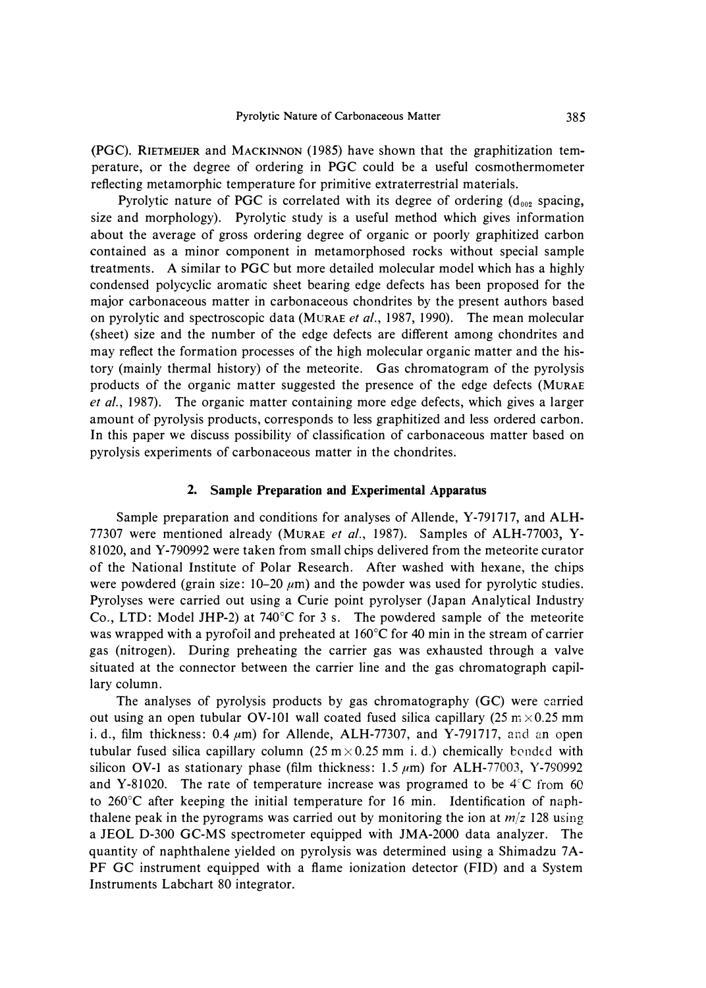**(PGC). RIETMEIJER and MACKINNON (1985) have shown that the graphitization temperature, or the degree of ordering in PGC could be a useful cosmothermometer reflecting metamorphic temperature for primitive extraterrestrial materials.** 

**Pyrolytic nature of PGC is correlated with its degree of ordering (** $d_{002}$  **spacing, size and morphology). Pyrolytic study is a useful method which gives information about the average of gross ordering degree of organic or poorly graphitized carbon contained as a minor component in metamorphosed rocks without special sample treatments. A similar to PGC but more detailed molecular model which has a highly condensed polycyclic aromatic sheet bearing edge defects has been proposed for the major carbonaceous matter in carbonaceous chondrites by the present authors based on pyrolytic and spectroscopic data (MuRAE** *et al.,* **1987, 1990). The mean molecular (sheet) size and the number of the edge defects are different among chondrites and may reflect the formation processes of the high molecular organic matter and the history (mainly thermal history) of the meteorite. Gas chromatogram of the pyrolysis products of the organic matter suggested the presence of the edge defects (MURAE**  *et al.,* **1987). The organic matter containing more edge defects, which gives a larger amount of pyrolysis products, corresponds to less graphitized and less ordered carbon. In this paper we discuss possibility of classification of carbonaceous matter based on pyrolysis experiments of carbonaceous matter in the chondrites.** 

### **2. Sample Preparation and Experimental Apparatus**

**Sample preparation and conditions for analyses of Allende, Y-791717, and ALH-77307 were mentioned already (MURAE** *et al.,* **1987). Samples of ALH-77003, Y-81020, and Y-790992 were taken from small chips delivered from the meteorite curator of the National Institute of Polar Research. After washed with hexane, the chips**  were powdered (grain size:  $10-20 \mu m$ ) and the powder was used for pyrolytic studies. **Pyrolyses were carried out using a Curie point pyrolyser (Japan Analytical Industry Co., LTD: Model JHP-2) at 740**°**C for 3 s. The powdered sample of the meteorite was wrapped with a pyrofoil and preheated at l 60**°**C for 40 min in the stream of carrier gas (nitrogen). During preheating the carrier gas was exhausted through a valve situated at the connector between the carrier line and the gas chromatograph capillary column.** 

**The analyses of pyrolysis products by gas chromatography (GC) were carried**  out using an open tubular OV-101 wall coated fused silica capillary  $(25 \text{ m} \times 0.25 \text{ mm})$ i. d., film thickness:  $0.4 \mu m$ ) for Allende, ALH-77307, and Y-791717, and an open **tubular fused silica capillary column (25 m**  $\times$  **0.25 mm i. d.) chemically bonded with** silicon OV-1 as stationary phase (film thickness:  $1.5 \mu m$ ) for ALH-77003, Y-790992 and Y-81020. The rate of temperature increase was programed to be 4<sup>c</sup>C from 60 **to 260**°**C after keeping the initial temperature for 16 min. Identification of naphthalene peak in the pyrograms was carried out by monitoring the ion at** *m/z* **128 using a JEOL D-300 GC-MS spectrometer equipped with JMA-2000 data analyzer. The quantity of naphthalene yielded on pyrolysis was determined using a Shimadzu 7A-PF GC instrument equipped with a flame ionization detector (FID) and a System Instruments Labchart 80 integrator.**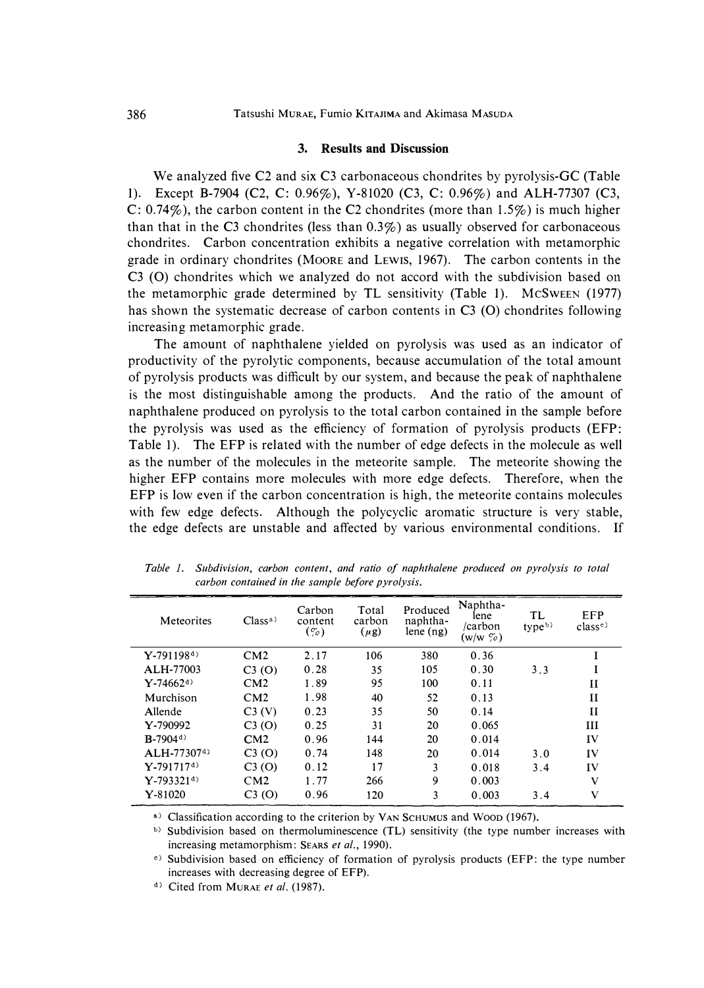#### **3. Results and Discussion**

**We analyzed five C2 and six C3 carbonaceous chondrites by pyrolysis-Ge (Table 1). Except B-7904 (C2, C: 0.96%), Y-81020 (C3, C: 0.96%) and ALH-77307 (C3, C: 0.74%), the carbon content in the C2 chondrites (more than 1.5%) is much higher than that in the C3 chondrites (less than 0.3%) as usually observed for carbonaceous chondrites. Carbon concentration exhibits a negative correlation with metamorphic grade in ordinary chondrites (MOORE and LEWIS, 1967). The carbon contents in the C3 (0) chondrites which we analyzed do not accord with the subdivision based on the metamorphic grade determined by TL sensitivity (Table 1). MCSWEEN (1977) has shown the systematic decrease of carbon contents in C3 (0) chondrites following increasing metamorphic grade.** 

**The amount of naphthalene yielded on pyrolysis was used as an indicator of productivity of the pyrolytic components, because accumulation of the total amount of pyrolysis products was difficult by our system, and because the peak of naphthalene is the most distinguishable among the products. And the ratio of the amount of naphthalene produced on pyrolysis to the total carbon contained in the sample before the pyrolysis was used as the efficiency of formation of pyrolysis products (EFP: Table I). The EFP is related with the number of edge defects in the molecule as well as the number of the molecules in the meteorite sample. The meteorite showing the higher EFP contains more molecules with more edge defects. Therefore, when the EFP is low even if the carbon concentration is high, the meteorite contains molecules with few edge defects. Although the polycyclic aromatic structure is very stable, the edge defects are unstable and affected by various environmental conditions. If** 

| Meteorites                | Class <sup>a</sup> | Carbon<br>content<br>$(\%$ | Total<br>carbon<br>$(\mu g)$ | Produced<br>naphtha-<br>lene $(ng)$ | Naphtha-<br>lene<br>/carbon<br>$(w/w \, \tilde{\varphi})$ | TL<br>type <sup>b</sup> | EFP<br>class <sup>c</sup> |
|---------------------------|--------------------|----------------------------|------------------------------|-------------------------------------|-----------------------------------------------------------|-------------------------|---------------------------|
| $Y-791198^{d}$            | CM2                | 2.17                       | 106                          | 380                                 | 0.36                                                      |                         |                           |
| ALH-77003                 | C3(0)              | 0.28                       | 35                           | 105                                 | 0.30                                                      | 3.3                     |                           |
| $Y - 74662$ <sup>d)</sup> | CM2                | 1.89                       | 95                           | 100                                 | 0.11                                                      |                         | $\mathbf{I}$              |
| Murchison                 | CM2                | 1.98                       | 40                           | 52                                  | 0.13                                                      |                         | $\mathbf{I}$              |
| Allende                   | C3(V)              | 0.23                       | 35                           | 50                                  | 0.14                                                      |                         | $\mathbf{I}$              |
| Y-790992                  | C3(0)              | 0.25                       | 31                           | 20                                  | 0.065                                                     |                         | III                       |
| $B-7904d$                 | CM2                | 0.96                       | 144                          | 20                                  | 0.014                                                     |                         | IV                        |
| $ALH-77307d$              | C3(0)              | 0.74                       | 148                          | 20                                  | 0.014                                                     | 3.0                     | IV                        |
| $Y - 791717d$             | C3(0)              | 0.12                       | 17                           | 3                                   | 0.018                                                     | 3.4                     | IV                        |
| $Y-793321^{d}$            | CM2                | 1.77                       | 266                          | 9                                   | 0.003                                                     |                         | V                         |
| $Y - 81020$               | C3(0)              | 0.96                       | 120                          | 3                                   | 0.003                                                     | 3.4                     | $\mathbf{V}$              |

*Table I. Subdivision, carbon content, and ratio of naphthalene produced on pyrolysis to total carbon contained in the sample before pyrolysis.* 

 $a)$  Classification according to the criterion by VAN SCHUMUS and Woop (1967).

b) Subdivision based on thermoluminescence (TL) sensitivity (the type number increases with increasing metamorphism: SEARS *et al.,* 1990).

<sup>e)</sup> Subdivision based on efficiency of formation of pyrolysis products (EFP: the type number increases with decreasing degree of EPP).

<sup>d)</sup> Cited from MURAE *et al.* (1987).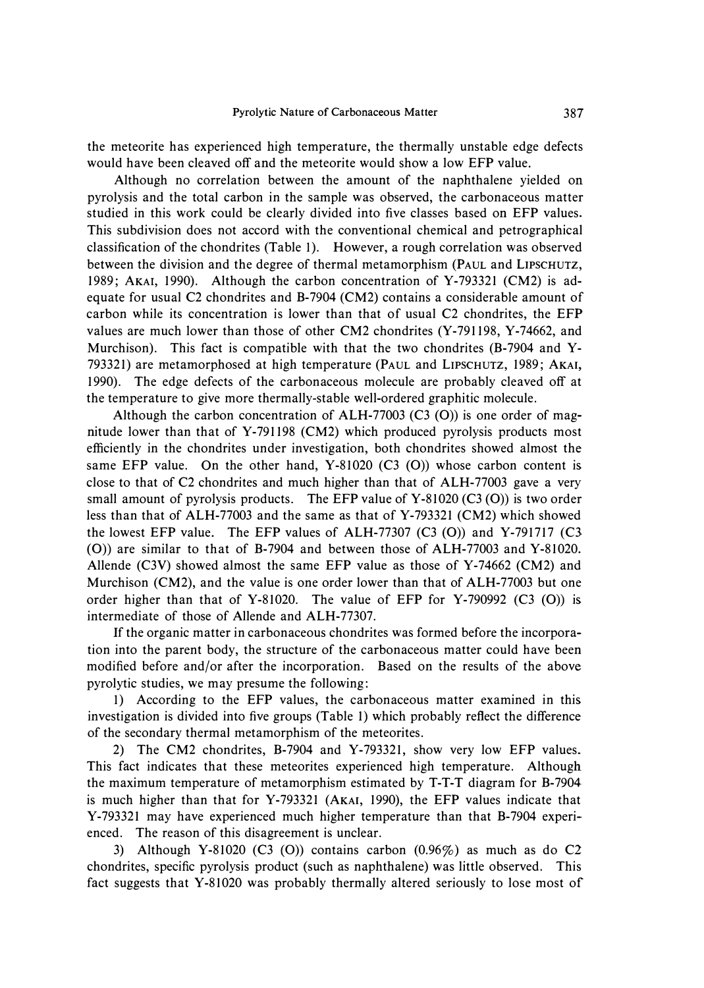**the meteorite has experienced high temperature, the thermally unstable edge defects would have been cleaved off and the meteorite would show a low EFP value.** 

**Although no correlation between the amount of the naphthalene yielded on pyrolysis and the total carbon in the sample was observed, the carbonaceous matter studied in this work could be clearly divided into five classes based on EFP values. This subdivision does not accord with the conventional chemical and petrographical classification of the chondrites (Table I). However, a rough correlation was observed between the division and the degree of thermal metamorphism (PAUL and LIPSCHUTZ, 1989; AKAi, 1990). Although the carbon concentration of Y-793321 (CM2) is adequate for usual C2 chondrites and B-7904 (CM2) contains a considerable amount of carbon while its concentration is lower than that of usual C2 chondrites, the EFP values are much lower than those of other CM2 chondrites (Y-791198, Y-74662, and Murchison). This fact is compatible with that the two chondrites (B-7904 and Y-793321) are metamorphosed at high temperature (PAUL and LIPSCHUTZ, 1989; AKAi, 1990). The edge defects of the carbonaceous molecule are probably cleaved off at the temperature to give more thermally-stable well-ordered graphitic molecule.** 

**Although the carbon concentration of ALH-77003 (C3 (0)) is one order of magnitude lower than that of Y-791198 (CM2) which produced pyrolysis products most efficiently in the chondrites under investigation, both chondrites showed almost the same EFP value. On the other hand, Y-81020 (C3 (0)) whose carbon content is close to that of C2 chondrites and much higher than that of ALH-77003 gave a very small amount of pyrolysis products. The EFP value of Y-81020 (C3 (0)) is two order less than that of ALH-77003 and the same as that of Y-793321 (CM2) which showed the lowest EFP value. The EFP values of ALH-77307 (C3 (0)) and Y-791717 (C3 (0)) are similar to that of B-7904 and between those of ALH-77003 and Y-81020. Allende (C3V) showed almost the same EFP value as those of Y-74662 (CM2) and Murchison (CM2), and the value is one order lower than that of ALH-77003 but one order higher than that of Y-81020. The value of EFP for Y-790992 (C3 (0)) is intermediate of those of Allende and ALH-77307.** 

**If the organic matter in carbonaceous chondrites was formed before the incorporation into the parent body, the structure of the carbonaceous matter could have been modified before and/or after the incorporation. Based on the results of the above pyrolytic studies, we may presume the following:** 

**I) According to the EFP values, the carbonaceous matter examined in this investigation is divided into five groups (Table 1) which probably reflect the difference of the secondary thermal metamorphism of the meteorites.** 

**2) The CM2 chondrites, B-7904 and Y-793321, show very low EFP values. This fact indicates that these meteorites experienced high temperature. Although the maximum temperature of metamorphism estimated by T-T-T diagram for B-7904 is much higher than that for Y-793321 (AKAi, 1990), the EFP values indicate that Y-793321 may have experienced much higher temperature than that B-7904 experienced. The reason of this disagreement is unclear.** 

**3) Although Y-81020 (C3 (0)) contains carbon (0.96%) as much as do C2 chondrites, specific pyrolysis product (such as naphthalene) was little observed. This fact suggests that Y-81020 was probably thermally altered seriously to lose most of**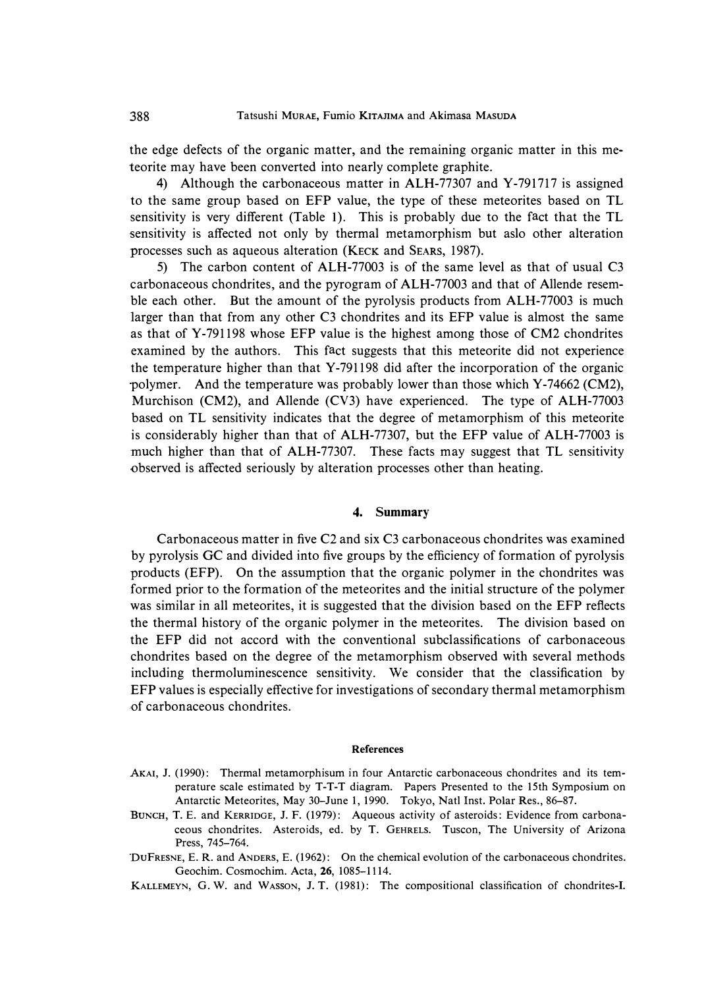**the edge defects of the organic matter, and the remaining organic matter in this meteorite may have been converted into nearly complete graphite.** 

**4) Although the carbonaceous matter in ALH-77307 and Y-791717 is assigned to the same group based on EFP value, the type of these meteorites based on TL sensitivity is very different (Table I). This is probably due to the fact that the TL sensitivity is affected not only by thermal metamorphism but aslo other alteration processes such as aqueous alteration (KECK and SEARS, 1987).** 

**5) The carbon content of ALH-77003 is of the same level as that of usual C3 carbonaceous chondrites, and the pyrogram of ALH-77003 and that of Allende resemble each other. But the amount of the pyrolysis products from ALH-77003 is much larger than that from any other C3 chondrites and its EFP value is almost the same as that of Y-791198 whose EFP value is the highest among those of CM2 chondrites examined by the authors. This fact suggests that this meteorite did not experience the temperature higher than that Y-791198 did after the incorporation of the organic polymer. And the temperature was probably lower than those which Y-74662 (CM2), Murchison (CM2), and Allende (CV3) have experienced. The type of ALH-77003 based on TL sensitivity indicates that the degree of metamorphism of this meteorite is considerably higher than that of ALH-77307, but the EFP value of ALH-77003 is much higher than that of ALH-77307. These facts may suggest that TL sensitivity observed is affected seriously by alteration processes other than heating.** 

## **4. Summary**

**Carbonaceous matter in five C2 and six C3 carbonaceous chondrites was examined by pyrolysis GC and divided into five groups by the efficiency of formation of pyrolysis products (EFP). On the assumption that the organic polymer in the chondrites was formed prior to the formation of the meteorites and the initial structure of the polymer was similar in all meteorites, it is suggested that the division based on the EFP reflects the thermal history of the organic polymer in the meteorites. The division based on the EFP did not accord with the conventional subclassifications of carbonaceous chondrites based on the degree of the metamorphism observed with several methods including thermoluminescence sensitivity. We consider that the classification by EFP values is especially effective for investigations of secondary thermal metamorphism of carbonaceous chondrites.** 

#### **References**

- AKAi, J. (1990): Thermal metamorphisum in four Antarctic carbonaceous chondrites and its temperature scale estimated by T-T-T diagram. Papers Presented to the 15th Symposium on Antarctic Meteorites, May 30-June 1, 1990. Tokyo, Natl Inst. Polar Res., 86-87.
- BUNCH, T. E. and KERRIDGE, J. F. (1979): Aqueous activity of asteroids: Evidence from carbonaceous chondrites. Asteroids, ed. by T. GEHRELS. Tuscon, The University of Arizona Press, 745-764.
- DUFRESNE, E. R. and ANDERS, E. (1962): On the chemical evolution of the carbonaceous chondrites. Geochim. Cosmochim. Acta, 26, 1085-1114.
- KALLEMEYN, G. W. and WASSON, J. T. (1981): The compositional classification of chondrites-I.